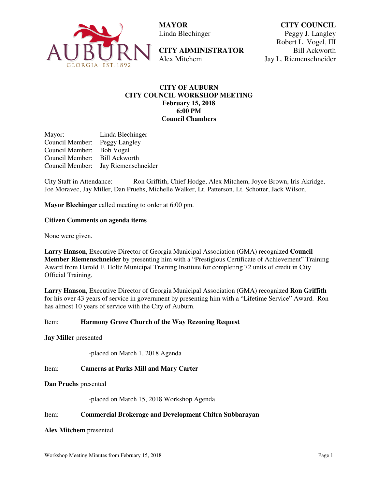

 **MAYOR**  Linda Blechinger

**CITY ADMINISTRATOR**  Alex Mitchem

**CITY COUNCIL** Peggy J. Langley Robert L. Vogel, III Bill Ackworth Jay L. Riemenschneider

# **CITY OF AUBURN CITY COUNCIL WORKSHOP MEETING February 15, 2018 6:00 PM Council Chambers**

Mayor: Linda Blechinger Council Member: Peggy Langley Council Member: Bob Vogel Council Member: Bill Ackworth Council Member: Jay Riemenschneider

City Staff in Attendance: Ron Griffith, Chief Hodge, Alex Mitchem, Joyce Brown, Iris Akridge, Joe Moravec, Jay Miller, Dan Pruehs, Michelle Walker, Lt. Patterson, Lt. Schotter, Jack Wilson.

**Mayor Blechinger** called meeting to order at 6:00 pm.

## **Citizen Comments on agenda items**

None were given.

**Larry Hanson**, Executive Director of Georgia Municipal Association (GMA) recognized **Council Member Riemenschneider** by presenting him with a "Prestigious Certificate of Achievement" Training Award from Harold F. Holtz Municipal Training Institute for completing 72 units of credit in City Official Training.

**Larry Hanson**, Executive Director of Georgia Municipal Association (GMA) recognized **Ron Griffith** for his over 43 years of service in government by presenting him with a "Lifetime Service" Award. Ron has almost 10 years of service with the City of Auburn.

### Item: **Harmony Grove Church of the Way Rezoning Request**

### **Jay Miller** presented

-placed on March 1, 2018 Agenda

### Item: **Cameras at Parks Mill and Mary Carter**

### **Dan Pruehs** presented

-placed on March 15, 2018 Workshop Agenda

## Item: **Commercial Brokerage and Development Chitra Subbarayan**

#### **Alex Mitchem** presented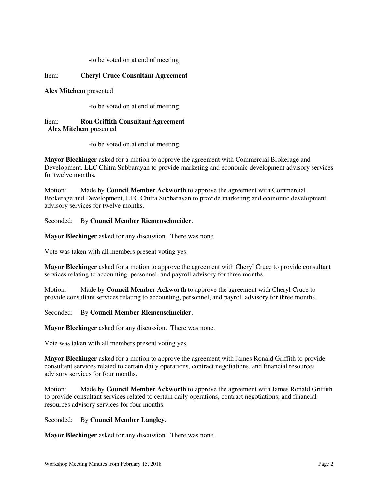-to be voted on at end of meeting

# Item: **Cheryl Cruce Consultant Agreement**

## **Alex Mitchem** presented

-to be voted on at end of meeting

## Item: **Ron Griffith Consultant Agreement Alex Mitchem** presented

-to be voted on at end of meeting

**Mayor Blechinger** asked for a motion to approve the agreement with Commercial Brokerage and Development, LLC Chitra Subbarayan to provide marketing and economic development advisory services for twelve months.

Motion: Made by **Council Member Ackworth** to approve the agreement with Commercial Brokerage and Development, LLC Chitra Subbarayan to provide marketing and economic development advisory services for twelve months.

Seconded: By **Council Member Riemenschneider**.

**Mayor Blechinger** asked for any discussion. There was none.

Vote was taken with all members present voting yes.

**Mayor Blechinger** asked for a motion to approve the agreement with Cheryl Cruce to provide consultant services relating to accounting, personnel, and payroll advisory for three months.

Motion: Made by **Council Member Ackworth** to approve the agreement with Cheryl Cruce to provide consultant services relating to accounting, personnel, and payroll advisory for three months.

Seconded: By **Council Member Riemenschneider**.

**Mayor Blechinger** asked for any discussion. There was none.

Vote was taken with all members present voting yes.

**Mayor Blechinger** asked for a motion to approve the agreement with James Ronald Griffith to provide consultant services related to certain daily operations, contract negotiations, and financial resources advisory services for four months.

Motion: Made by **Council Member Ackworth** to approve the agreement with James Ronald Griffith to provide consultant services related to certain daily operations, contract negotiations, and financial resources advisory services for four months.

Seconded: By **Council Member Langley**.

**Mayor Blechinger** asked for any discussion. There was none.